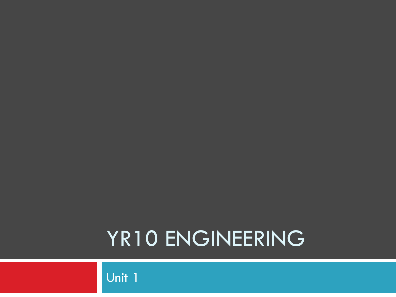### YR10 ENGINEERING

Unit 1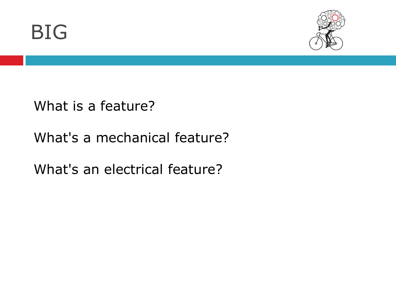



What is a feature?

#### What's a mechanical feature?

What's an electrical feature?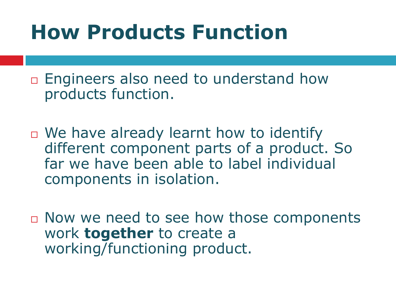# **How Products Function**

 $\Box$  Engineers also need to understand how products function.

- $\Box$  We have already learnt how to identify different component parts of a product. So far we have been able to label individual components in isolation.
- □ Now we need to see how those components work **together** to create a working/functioning product.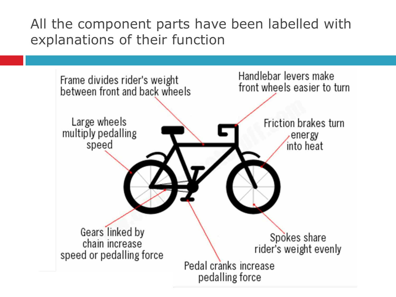All the component parts have been labelled with explanations of their function

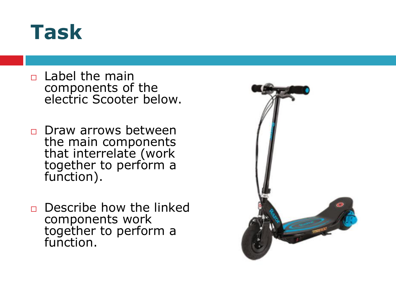#### **Task**

- $\Box$  Label the main components of the electric Scooter below.
- **Draw arrows between** the main components that interrelate (work together to perform a function).
- $\Box$  Describe how the linked components work together to perform a function.

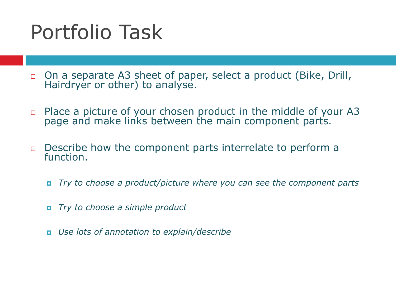# Portfolio Task

- On a separate A3 sheet of paper, select a product (Bike, Drill, Hairdryer or other) to analyse.
- $\Box$  Place a picture of your chosen product in the middle of your A3 page and make links between the main component parts.
- $\Box$  Describe how the component parts interrelate to perform a function.
	- *Try to choose a product/picture where you can see the component parts*
	- *Try to choose a simple product*
	- *Use lots of annotation to explain/describe*